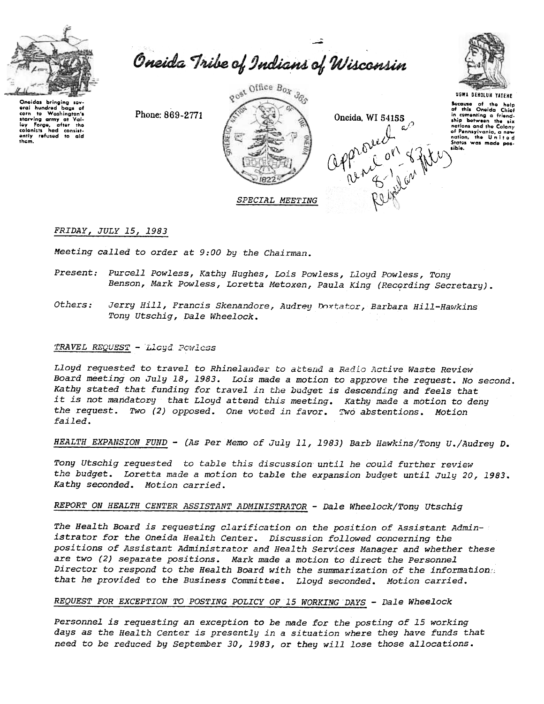

Oneida Tribe of Indians of Wisconsin

~

Oneidas bringing sov-<br>oral hundred bags of<br>starving army ot Val-<br>ioy Forgo, aftor the<br>colonists had consist-<br>colonists had consist-<br>antly refused to aid<br>thom.

Phone: 869-2771







UGWA DEHOlUH YATEHE

Secause of the holp<br>of this Oneida Chief nations and the Colony

#### FRIDAY, JULY 15,1983

Meeting called to order at 9:00 by the Chairman.

- Present: Purcell Powless, Kathy Hughes, Lois Powless, Lloyd Powless, Tony Benson, Mark Powless, Loretta Metoxen, Paula King (Recording Secretary).
- Jerry Hill, Francis Skenandore, Audrey Doxtator, Barbara Hill-Hawkins Others: Tony Utschig, Dale Wheelock.

### TRAVEL REQUEST - Lloyd Powless

Lloyd requested to travel to Rhinelander to attend a Radio Active Waste Review Board meeting on July 18, 1983. Lois made a motion to approve the request. No second. Kathy stated that funding for travel in the budget is descending and feels that it is not mandatory that Lloyd attend this meeting. Kathy made a motion to deny the request. Two (2) opposed. One voted in favor. Two abstentions. Motion failed.

HEALTH EXPANSION FUND - (As Per Memo of July 11, 1983) Barb Hawkins/Tony U./Audrey D.

Tony Utschig requested to table this discussion until he could further review the budget. Loretta made a motion to table the expansion budget until July 20, 1983. Kathy seconded. Motion carried.

### REPORT ON HEALTH CENTER ASSISTANT ADMINISTRATOR - Dale Wheelock/Tony Utschig

The Health Board is requesting clarification on the position of Assistant Administrator for the Oneida Health Center. Discussion followed concerning the positions of Assistant Administrator and Health Services Manager and whether these are two (2) separate positions. Mark made a motion to direct the Personnel Director to respond to the Health Board with the summarization of the information: that he provided to the Business Committee. Lloyd seconded. Motion carried.

#### REQUEST FOR EXCEPTION TO POSTING POLICY OF 15 WORKING DAYS - Dale Wheelock

Personnel is requesting an exception to be made for the posting of 15 working days as the Health Center is presently in a situation where they have funds that need to be reduced by September 30,1983, or they will lose those allocations.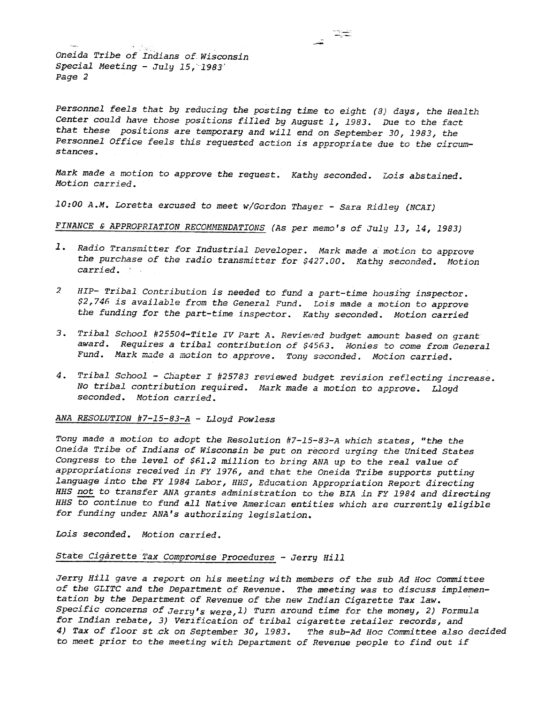Oneida Tribe of Indians of Wisconsin Special Meeting - July 15, 1983' Page 2

Personnel feels that by reducing the posting time to eight (8) days, the Health Center could have those positions filled by August 1, 1983. Due to the fact that these positions are temporary and will end on September 30, 1983, the Personnel Office feels this requested action is appropriate due to the circumstances.

نسيت

Mark made a motion to approve the request. Kathy seconded. Lois abstained. Motion carried.

10:00 A.M. Loretta excused to meet w/Gordon Thayer - Sara Ridley (NCAI)

FINANCE & APPROPRIATION RECOMMENDATIONS (As per memo's of July 13, 14, 1983)

- 1. Radio Transmitter for Industrial Developer. Mark made a motion to approve the purchase of the radio transmitter for \$427.00. Kathy seconded. Motion carried.
- $\overline{a}$ HIP- Tribal Contribution is needed to fund a part-time housing inspector. \$2,746 is available from the General Fund. Lois made a motion to approve the funding for the part-time inspector. Kathy seconded. Motion carried
- 3. Tribal School #25504-Title IV Part A. Reviewed budget amount based on grant award. Requires a tribal contribution of \$4563. Monies to come from General Fund. Mark made a motion to approve. Tony seconded. Motion carried.
- 4. Tribal School Chapter I #25783 reviewed budget revision reflecting increase. No tribal contribution required. Mark made a motion to approve. Lloyd seconded. Motion carried.

ANA RESOLUTION #7-15-83-A - Lloyd Powless

Tony made a motion to adopt the Resolution #7-15-83-A which states, "the the Oneida Tribe of Indians of Wisconsin be put on record urging the United States Congress to the level of \$61.2 million to bring ANA up to the real value of appropriations received in FY 1976, and that the Oneida Tribe supports putting language into the FY 1984 Labor, HHS, Education Appropriation Report directing HHS not to transfer ANA grants administration to the BIA in FY 1984 and directing HHS to continue to fund all Native American entities which are currently eligible for funding under ANA's authorizing legislation.

Lois seconded. Motion carried.

# State Cigarette Tax Compromise Procedures - Jerry Hill

Jerry Hill gave a report on his meeting with members of the sub Ad Hoc Committee of the GLITC and the Department of Revenue. The meeting was to discuss implementation by the Department of Revenue of the new Indian Cigarette Tax law. Specific concerns of Jerry's were, 1) Turn around time for the money, 2) Formula for Indian rebate, 3) Verification of tribal cigarette retailer records, and 4) Tax of floor st ck on September 30, 1983. The sub-Ad Hoc Committee also decided to meet prior to the meeting with Department of Revenue people to find out if